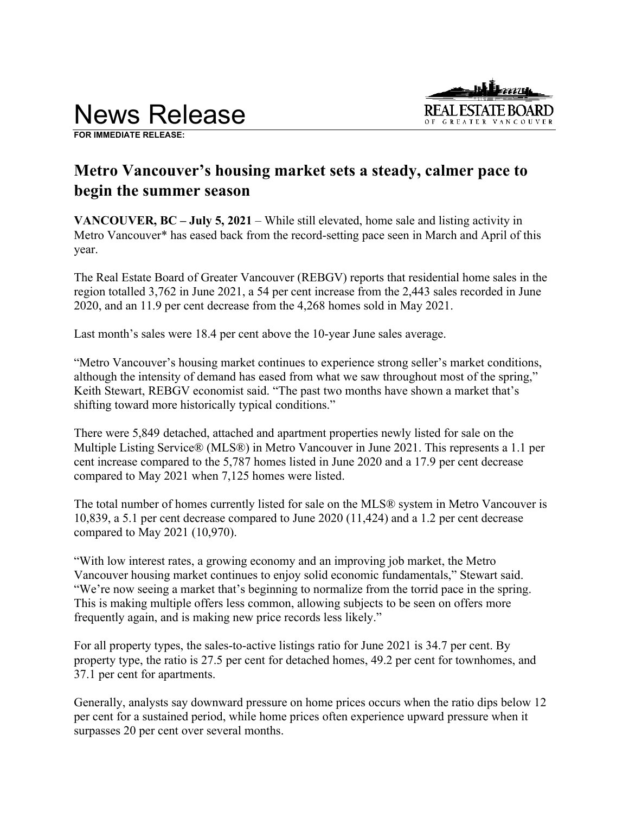

**FOR IMMEDIATE RELEASE:** 

# **Metro Vancouver's housing market sets a steady, calmer pace to begin the summer season**

**VANCOUVER, BC – July 5, 2021** – While still elevated, home sale and listing activity in Metro Vancouver\* has eased back from the record-setting pace seen in March and April of this year.

The Real Estate Board of Greater Vancouver (REBGV) reports that residential home sales in the region totalled 3,762 in June 2021, a 54 per cent increase from the 2,443 sales recorded in June 2020, and an 11.9 per cent decrease from the 4,268 homes sold in May 2021.

Last month's sales were 18.4 per cent above the 10-year June sales average.

"Metro Vancouver's housing market continues to experience strong seller's market conditions, although the intensity of demand has eased from what we saw throughout most of the spring," Keith Stewart, REBGV economist said. "The past two months have shown a market that's shifting toward more historically typical conditions."

There were 5,849 detached, attached and apartment properties newly listed for sale on the Multiple Listing Service® (MLS®) in Metro Vancouver in June 2021. This represents a 1.1 per cent increase compared to the 5,787 homes listed in June 2020 and a 17.9 per cent decrease compared to May 2021 when 7,125 homes were listed.

The total number of homes currently listed for sale on the MLS® system in Metro Vancouver is 10,839, a 5.1 per cent decrease compared to June 2020 (11,424) and a 1.2 per cent decrease compared to May 2021 (10,970).

"With low interest rates, a growing economy and an improving job market, the Metro Vancouver housing market continues to enjoy solid economic fundamentals," Stewart said. "We're now seeing a market that's beginning to normalize from the torrid pace in the spring. This is making multiple offers less common, allowing subjects to be seen on offers more frequently again, and is making new price records less likely."

For all property types, the sales-to-active listings ratio for June 2021 is 34.7 per cent. By property type, the ratio is 27.5 per cent for detached homes, 49.2 per cent for townhomes, and 37.1 per cent for apartments.

Generally, analysts say downward pressure on home prices occurs when the ratio dips below 12 per cent for a sustained period, while home prices often experience upward pressure when it surpasses 20 per cent over several months.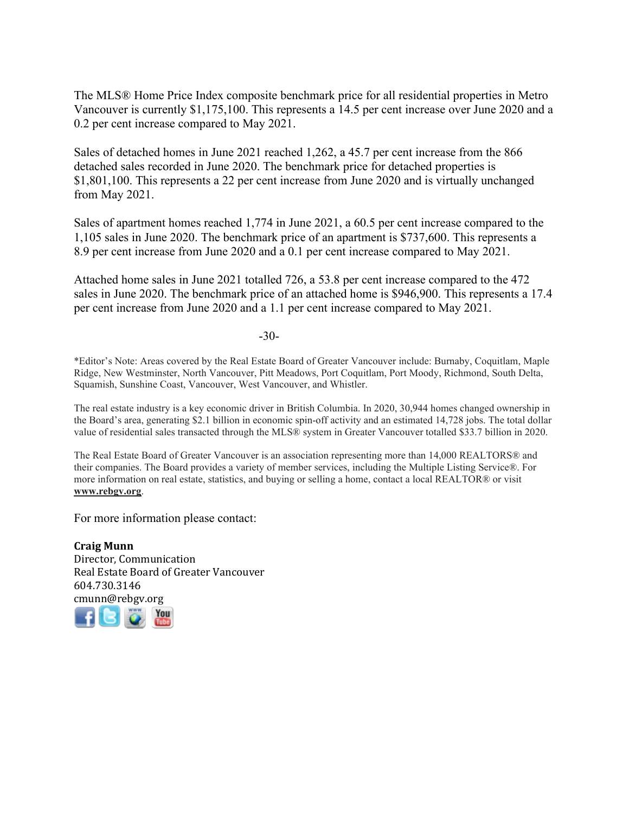The MLS® Home Price Index composite benchmark price for all residential properties in Metro Vancouver is currently \$1,175,100. This represents a 14.5 per cent increase over June 2020 and a 0.2 per cent increase compared to May 2021.

Sales of detached homes in June 2021 reached 1,262, a 45.7 per cent increase from the 866 detached sales recorded in June 2020. The benchmark price for detached properties is \$1,801,100. This represents a 22 per cent increase from June 2020 and is virtually unchanged from May 2021.

Sales of apartment homes reached 1,774 in June 2021, a 60.5 per cent increase compared to the 1,105 sales in June 2020. The benchmark price of an apartment is \$737,600. This represents a 8.9 per cent increase from June 2020 and a 0.1 per cent increase compared to May 2021.

Attached home sales in June 2021 totalled 726, a 53.8 per cent increase compared to the 472 sales in June 2020. The benchmark price of an attached home is \$946,900. This represents a 17.4 per cent increase from June 2020 and a 1.1 per cent increase compared to May 2021.

-30-

\*Editor's Note: Areas covered by the Real Estate Board of Greater Vancouver include: Burnaby, Coquitlam, Maple Ridge, New Westminster, North Vancouver, Pitt Meadows, Port Coquitlam, Port Moody, Richmond, South Delta, Squamish, Sunshine Coast, Vancouver, West Vancouver, and Whistler.

The real estate industry is a key economic driver in British Columbia. In 2020, 30,944 homes changed ownership in the Board's area, generating \$2.1 billion in economic spin-off activity and an estimated 14,728 jobs. The total dollar value of residential sales transacted through the MLS® system in Greater Vancouver totalled \$33.7 billion in 2020.

The Real Estate Board of Greater Vancouver is an association representing more than 14,000 REALTORS® and their companies. The Board provides a variety of member services, including the Multiple Listing Service®. For more information on real estate, statistics, and buying or selling a home, contact a local REALTOR® or visit **www.rebgv.org**.

For more information please contact:

**Craig Munn** Director, Communication Real Estate Board of Greater Vancouver 604.730.3146 [cmu](http://www.facebook.com/rebgv)[nn@r](http://www.twitter.com/rebgv)[ebgv.](http://www.rebgv.org/)[org](http://www.youtube.com/user/rebgv)

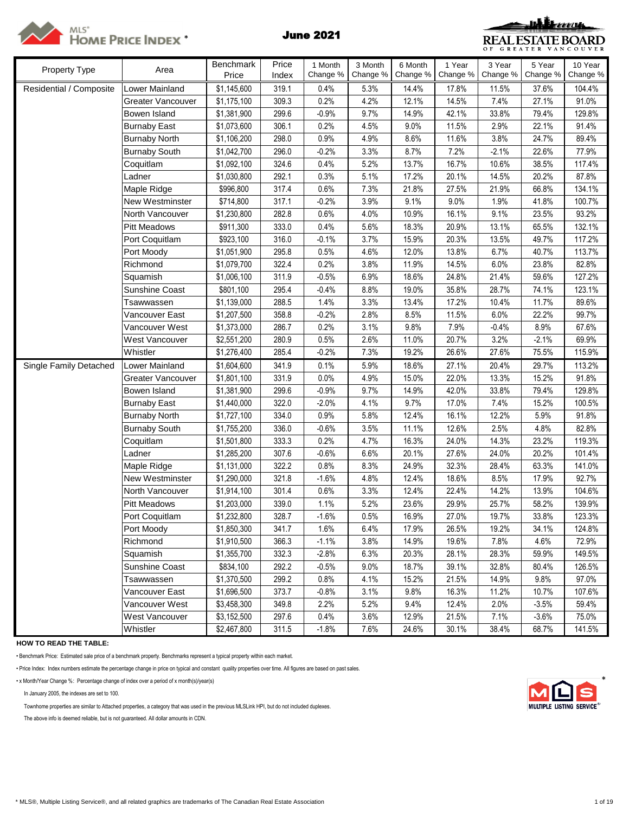

# MLS\*<br>Home Price Index \* June 2021



| Property Type           | Area                  | Benchmark   | Price | 1 Month  | 3 Month  | 6 Month  | 1 Year   | 3 Year   | 5 Year   | 10 Year  |
|-------------------------|-----------------------|-------------|-------|----------|----------|----------|----------|----------|----------|----------|
|                         |                       | Price       | Index | Change % | Change % | Change % | Change % | Change % | Change % | Change % |
| Residential / Composite | Lower Mainland        | \$1,145,600 | 319.1 | 0.4%     | 5.3%     | 14.4%    | 17.8%    | 11.5%    | 37.6%    | 104.4%   |
|                         | Greater Vancouver     | \$1,175,100 | 309.3 | 0.2%     | 4.2%     | 12.1%    | 14.5%    | 7.4%     | 27.1%    | 91.0%    |
|                         | Bowen Island          | \$1,381,900 | 299.6 | $-0.9%$  | 9.7%     | 14.9%    | 42.1%    | 33.8%    | 79.4%    | 129.8%   |
|                         | <b>Burnaby East</b>   | \$1,073,600 | 306.1 | 0.2%     | 4.5%     | 9.0%     | 11.5%    | 2.9%     | 22.1%    | 91.4%    |
|                         | <b>Burnaby North</b>  | \$1,106,200 | 298.0 | 0.9%     | 4.9%     | 8.6%     | 11.6%    | 3.8%     | 24.7%    | 89.4%    |
|                         | <b>Burnaby South</b>  | \$1,042,700 | 296.0 | $-0.2%$  | 3.3%     | 8.7%     | 7.2%     | $-2.1%$  | 22.6%    | 77.9%    |
|                         | Coquitlam             | \$1,092,100 | 324.6 | 0.4%     | 5.2%     | 13.7%    | 16.7%    | 10.6%    | 38.5%    | 117.4%   |
|                         | Ladner                | \$1,030,800 | 292.1 | 0.3%     | 5.1%     | 17.2%    | 20.1%    | 14.5%    | 20.2%    | 87.8%    |
|                         | Maple Ridge           | \$996,800   | 317.4 | 0.6%     | 7.3%     | 21.8%    | 27.5%    | 21.9%    | 66.8%    | 134.1%   |
|                         | New Westminster       | \$714,800   | 317.1 | $-0.2%$  | 3.9%     | 9.1%     | 9.0%     | 1.9%     | 41.8%    | 100.7%   |
|                         | North Vancouver       | \$1,230,800 | 282.8 | 0.6%     | 4.0%     | 10.9%    | 16.1%    | 9.1%     | 23.5%    | 93.2%    |
|                         | Pitt Meadows          | \$911,300   | 333.0 | 0.4%     | 5.6%     | 18.3%    | 20.9%    | 13.1%    | 65.5%    | 132.1%   |
|                         | Port Coquitlam        | \$923,100   | 316.0 | $-0.1%$  | 3.7%     | 15.9%    | 20.3%    | 13.5%    | 49.7%    | 117.2%   |
|                         | Port Moody            | \$1,051,900 | 295.8 | 0.5%     | 4.6%     | 12.0%    | 13.8%    | 6.7%     | 40.7%    | 113.7%   |
|                         | Richmond              | \$1,079,700 | 322.4 | 0.2%     | 3.8%     | 11.9%    | 14.5%    | 6.0%     | 23.8%    | 82.8%    |
|                         | Squamish              | \$1,006,100 | 311.9 | $-0.5%$  | 6.9%     | 18.6%    | 24.8%    | 21.4%    | 59.6%    | 127.2%   |
|                         | Sunshine Coast        | \$801,100   | 295.4 | $-0.4%$  | 8.8%     | 19.0%    | 35.8%    | 28.7%    | 74.1%    | 123.1%   |
|                         | Tsawwassen            | \$1,139,000 | 288.5 | 1.4%     | 3.3%     | 13.4%    | 17.2%    | 10.4%    | 11.7%    | 89.6%    |
|                         | Vancouver East        | \$1,207,500 | 358.8 | $-0.2%$  | 2.8%     | 8.5%     | 11.5%    | 6.0%     | 22.2%    | 99.7%    |
|                         | Vancouver West        | \$1,373,000 | 286.7 | 0.2%     | 3.1%     | 9.8%     | 7.9%     | $-0.4%$  | 8.9%     | 67.6%    |
|                         | West Vancouver        | \$2,551,200 | 280.9 | 0.5%     | 2.6%     | 11.0%    | 20.7%    | 3.2%     | $-2.1%$  | 69.9%    |
|                         | Whistler              | \$1,276,400 | 285.4 | $-0.2%$  | 7.3%     | 19.2%    | 26.6%    | 27.6%    | 75.5%    | 115.9%   |
| Single Family Detached  | Lower Mainland        | \$1,604,600 | 341.9 | 0.1%     | 5.9%     | 18.6%    | 27.1%    | 20.4%    | 29.7%    | 113.2%   |
|                         | Greater Vancouver     | \$1,801,100 | 331.9 | 0.0%     | 4.9%     | 15.0%    | 22.0%    | 13.3%    | 15.2%    | 91.8%    |
|                         | Bowen Island          | \$1,381,900 | 299.6 | $-0.9%$  | 9.7%     | 14.9%    | 42.0%    | 33.8%    | 79.4%    | 129.8%   |
|                         | <b>Burnaby East</b>   | \$1,440,000 | 322.0 | $-2.0%$  | 4.1%     | 9.7%     | 17.0%    | 7.4%     | 15.2%    | 100.5%   |
|                         | <b>Burnaby North</b>  | \$1,727,100 | 334.0 | 0.9%     | 5.8%     | 12.4%    | 16.1%    | 12.2%    | 5.9%     | 91.8%    |
|                         | <b>Burnaby South</b>  | \$1,755,200 | 336.0 | $-0.6%$  | 3.5%     | 11.1%    | 12.6%    | 2.5%     | 4.8%     | 82.8%    |
|                         | Coquitlam             | \$1,501,800 | 333.3 | 0.2%     | 4.7%     | 16.3%    | 24.0%    | 14.3%    | 23.2%    | 119.3%   |
|                         | Ladner                | \$1,285,200 | 307.6 | $-0.6%$  | 6.6%     | 20.1%    | 27.6%    | 24.0%    | 20.2%    | 101.4%   |
|                         | Maple Ridge           | \$1,131,000 | 322.2 | 0.8%     | 8.3%     | 24.9%    | 32.3%    | 28.4%    | 63.3%    | 141.0%   |
|                         | New Westminster       | \$1,290,000 | 321.8 | $-1.6%$  | 4.8%     | 12.4%    | 18.6%    | 8.5%     | 17.9%    | 92.7%    |
|                         | North Vancouver       | \$1,914,100 | 301.4 | 0.6%     | 3.3%     | 12.4%    | 22.4%    | 14.2%    | 13.9%    | 104.6%   |
|                         | <b>Pitt Meadows</b>   | \$1,203,000 | 339.0 | 1.1%     | 5.2%     | 23.6%    | 29.9%    | 25.7%    | 58.2%    | 139.9%   |
|                         | Port Coquitlam        | \$1,232,800 | 328.7 | $-1.6%$  | 0.5%     | 16.9%    | 27.0%    | 19.7%    | 33.8%    | 123.3%   |
|                         | Port Moody            | \$1,850,300 | 341.7 | 1.6%     | 6.4%     | 17.9%    | 26.5%    | 19.2%    | 34.1%    | 124.8%   |
|                         | Richmond              | \$1,910,500 | 366.3 | $-1.1%$  | 3.8%     | 14.9%    | 19.6%    | 7.8%     | 4.6%     | 72.9%    |
|                         | Squamish              | \$1,355,700 | 332.3 | $-2.8%$  | 6.3%     | 20.3%    | 28.1%    | 28.3%    | 59.9%    | 149.5%   |
|                         | <b>Sunshine Coast</b> | \$834,100   | 292.2 | $-0.5%$  | 9.0%     | 18.7%    | 39.1%    | 32.8%    | 80.4%    | 126.5%   |
|                         | Tsawwassen            | \$1,370,500 | 299.2 | 0.8%     | 4.1%     | 15.2%    | 21.5%    | 14.9%    | 9.8%     | 97.0%    |
|                         | Vancouver East        | \$1,696,500 | 373.7 | $-0.8%$  | 3.1%     | 9.8%     | 16.3%    | 11.2%    | 10.7%    | 107.6%   |
|                         | Vancouver West        | \$3,458,300 | 349.8 | 2.2%     | 5.2%     | 9.4%     | 12.4%    | 2.0%     | $-3.5%$  | 59.4%    |
|                         | <b>West Vancouver</b> | \$3,152,500 | 297.6 | 0.4%     | 3.6%     | 12.9%    | 21.5%    | 7.1%     | $-3.6%$  | 75.0%    |
|                         | Whistler              | \$2,467,800 | 311.5 | $-1.8%$  | 7.6%     | 24.6%    | 30.1%    | 38.4%    | 68.7%    | 141.5%   |

**HOW TO READ THE TABLE:**

• Benchmark Price: Estimated sale price of a benchmark property. Benchmarks represent a typical property within each market.

• Price Index: Index numbers estimate the percentage change in price on typical and constant quality properties over time. All figures are based on past sales.

• x Month/Year Change %: Percentage change of index over a period of x month(s)/year(s) \*

In January 2005, the indexes are set to 100.

Townhome properties are similar to Attached properties, a category that was used in the previous MLSLink HPI, but do not included duplexes.

The above info is deemed reliable, but is not guaranteed. All dollar amounts in CDN.

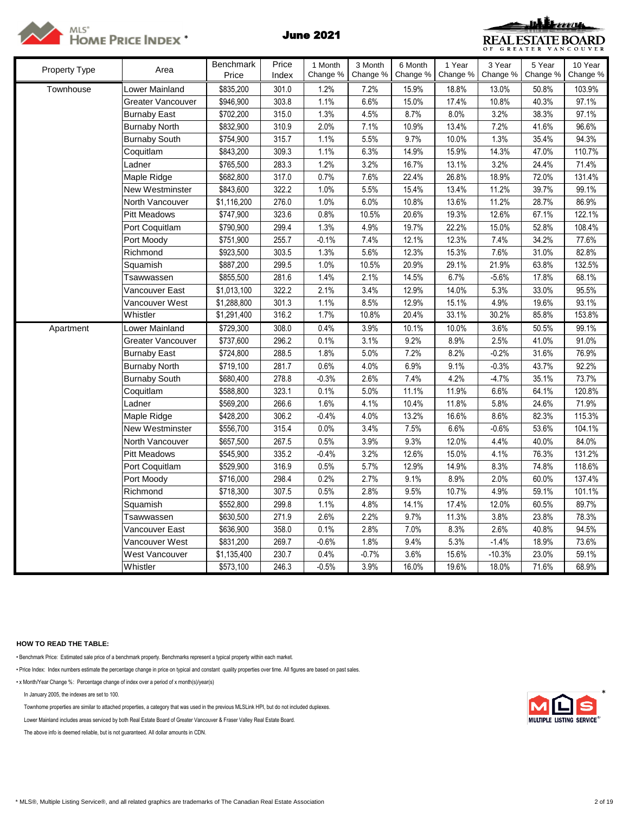



| Property Type | Area                 | <b>Benchmark</b><br>Price | Price<br>Index | 1 Month<br>Change % | 3 Month<br>Change % | 6 Month<br>Change % | 1 Year<br>Change % | 3 Year<br>Change % | 5 Year<br>Change % | 10 Year<br>Change % |
|---------------|----------------------|---------------------------|----------------|---------------------|---------------------|---------------------|--------------------|--------------------|--------------------|---------------------|
| Townhouse     | _ower Mainland       | \$835,200                 | 301.0          | 1.2%                | 7.2%                | 15.9%               | 18.8%              | 13.0%              | 50.8%              | 103.9%              |
|               | Greater Vancouver    | \$946,900                 | 303.8          | 1.1%                | 6.6%                | 15.0%               | 17.4%              | 10.8%              | 40.3%              | 97.1%               |
|               | <b>Burnaby East</b>  | \$702,200                 | 315.0          | 1.3%                | 4.5%                | 8.7%                | 8.0%               | 3.2%               | 38.3%              | 97.1%               |
|               | <b>Burnaby North</b> | \$832,900                 | 310.9          | 2.0%                | 7.1%                | 10.9%               | 13.4%              | 7.2%               | 41.6%              | 96.6%               |
|               | <b>Burnaby South</b> | \$754,900                 | 315.7          | 1.1%                | 5.5%                | 9.7%                | 10.0%              | 1.3%               | 35.4%              | 94.3%               |
|               | Coquitlam            | \$843,200                 | 309.3          | 1.1%                | 6.3%                | 14.9%               | 15.9%              | 14.3%              | 47.0%              | 110.7%              |
|               | Ladner               | \$765,500                 | 283.3          | 1.2%                | 3.2%                | 16.7%               | 13.1%              | 3.2%               | 24.4%              | 71.4%               |
|               | Maple Ridge          | \$682,800                 | 317.0          | 0.7%                | 7.6%                | 22.4%               | 26.8%              | 18.9%              | 72.0%              | 131.4%              |
|               | New Westminster      | \$843,600                 | 322.2          | 1.0%                | 5.5%                | 15.4%               | 13.4%              | 11.2%              | 39.7%              | 99.1%               |
|               | North Vancouver      | \$1,116,200               | 276.0          | 1.0%                | 6.0%                | 10.8%               | 13.6%              | 11.2%              | 28.7%              | 86.9%               |
|               | <b>Pitt Meadows</b>  | \$747,900                 | 323.6          | 0.8%                | 10.5%               | 20.6%               | 19.3%              | 12.6%              | 67.1%              | 122.1%              |
|               | Port Coquitlam       | \$790,900                 | 299.4          | 1.3%                | 4.9%                | 19.7%               | 22.2%              | 15.0%              | 52.8%              | 108.4%              |
|               | Port Moody           | \$751,900                 | 255.7          | $-0.1%$             | 7.4%                | 12.1%               | 12.3%              | 7.4%               | 34.2%              | 77.6%               |
|               | Richmond             | \$923,500                 | 303.5          | 1.3%                | 5.6%                | 12.3%               | 15.3%              | 7.6%               | 31.0%              | 82.8%               |
|               | Squamish             | \$887,200                 | 299.5          | 1.0%                | 10.5%               | 20.9%               | 29.1%              | 21.9%              | 63.8%              | 132.5%              |
|               | Tsawwassen           | \$855,500                 | 281.6          | 1.4%                | 2.1%                | 14.5%               | 6.7%               | $-5.6%$            | 17.8%              | 68.1%               |
|               | Vancouver East       | \$1,013,100               | 322.2          | 2.1%                | 3.4%                | 12.9%               | 14.0%              | 5.3%               | 33.0%              | 95.5%               |
|               | Vancouver West       | \$1,288,800               | 301.3          | 1.1%                | 8.5%                | 12.9%               | 15.1%              | 4.9%               | 19.6%              | 93.1%               |
|               | Whistler             | \$1,291,400               | 316.2          | 1.7%                | 10.8%               | 20.4%               | 33.1%              | 30.2%              | 85.8%              | 153.8%              |
| Apartment     | Lower Mainland       | \$729,300                 | 308.0          | 0.4%                | 3.9%                | 10.1%               | 10.0%              | 3.6%               | 50.5%              | 99.1%               |
|               | Greater Vancouver    | \$737,600                 | 296.2          | 0.1%                | 3.1%                | 9.2%                | 8.9%               | 2.5%               | 41.0%              | 91.0%               |
|               | <b>Burnaby East</b>  | \$724,800                 | 288.5          | 1.8%                | 5.0%                | 7.2%                | 8.2%               | $-0.2%$            | 31.6%              | 76.9%               |
|               | <b>Burnaby North</b> | \$719,100                 | 281.7          | 0.6%                | 4.0%                | 6.9%                | 9.1%               | $-0.3%$            | 43.7%              | 92.2%               |
|               | <b>Burnaby South</b> | \$680,400                 | 278.8          | $-0.3%$             | 2.6%                | 7.4%                | 4.2%               | $-4.7%$            | 35.1%              | 73.7%               |
|               | Coquitlam            | \$588,800                 | 323.1          | 0.1%                | 5.0%                | 11.1%               | 11.9%              | 6.6%               | 64.1%              | 120.8%              |
|               | Ladner               | \$569,200                 | 266.6          | 1.6%                | 4.1%                | 10.4%               | 11.8%              | 5.8%               | 24.6%              | 71.9%               |
|               | Maple Ridge          | \$428,200                 | 306.2          | $-0.4%$             | 4.0%                | 13.2%               | 16.6%              | 8.6%               | 82.3%              | 115.3%              |
|               | New Westminster      | \$556,700                 | 315.4          | 0.0%                | 3.4%                | 7.5%                | 6.6%               | $-0.6%$            | 53.6%              | 104.1%              |
|               | North Vancouver      | \$657,500                 | 267.5          | 0.5%                | 3.9%                | 9.3%                | 12.0%              | 4.4%               | 40.0%              | 84.0%               |
|               | <b>Pitt Meadows</b>  | \$545,900                 | 335.2          | $-0.4%$             | 3.2%                | 12.6%               | 15.0%              | 4.1%               | 76.3%              | 131.2%              |
|               | Port Coquitlam       | \$529,900                 | 316.9          | 0.5%                | 5.7%                | 12.9%               | 14.9%              | 8.3%               | 74.8%              | 118.6%              |
|               | Port Moody           | \$716,000                 | 298.4          | 0.2%                | 2.7%                | 9.1%                | 8.9%               | 2.0%               | 60.0%              | 137.4%              |
|               | Richmond             | \$718,300                 | 307.5          | 0.5%                | 2.8%                | 9.5%                | 10.7%              | 4.9%               | 59.1%              | 101.1%              |
|               | Squamish             | \$552,800                 | 299.8          | 1.1%                | 4.8%                | 14.1%               | 17.4%              | 12.0%              | 60.5%              | 89.7%               |
|               | Tsawwassen           | \$630,500                 | 271.9          | 2.6%                | 2.2%                | 9.7%                | 11.3%              | 3.8%               | 23.8%              | 78.3%               |
|               | Vancouver East       | \$636,900                 | 358.0          | 0.1%                | 2.8%                | 7.0%                | 8.3%               | 2.6%               | 40.8%              | 94.5%               |
|               | Vancouver West       | \$831,200                 | 269.7          | $-0.6%$             | 1.8%                | 9.4%                | 5.3%               | $-1.4%$            | 18.9%              | 73.6%               |
|               | West Vancouver       | \$1,135,400               | 230.7          | 0.4%                | $-0.7%$             | 3.6%                | 15.6%              | $-10.3%$           | 23.0%              | 59.1%               |
|               | Whistler             | \$573,100                 | 246.3          | $-0.5%$             | 3.9%                | 16.0%               | 19.6%              | 18.0%              | 71.6%              | 68.9%               |

## **HOW TO READ THE TABLE:**

• Benchmark Price: Estimated sale price of a benchmark property. Benchmarks represent a typical property within each market.

• Price Index: Index numbers estimate the percentage change in price on typical and constant quality properties over time. All figures are based on past sales.

• x Month/Year Change %: Percentage change of index over a period of x month(s)/year(s)

In January 2005, the indexes are set to 100. \*

Townhome properties are similar to attached properties, a category that was used in the previous MLSLink HPI, but do not included duplexes.

Lower Mainland includes areas serviced by both Real Estate Board of Greater Vancouver & Fraser Valley Real Estate Board.

The above info is deemed reliable, but is not guaranteed. All dollar amounts in CDN.

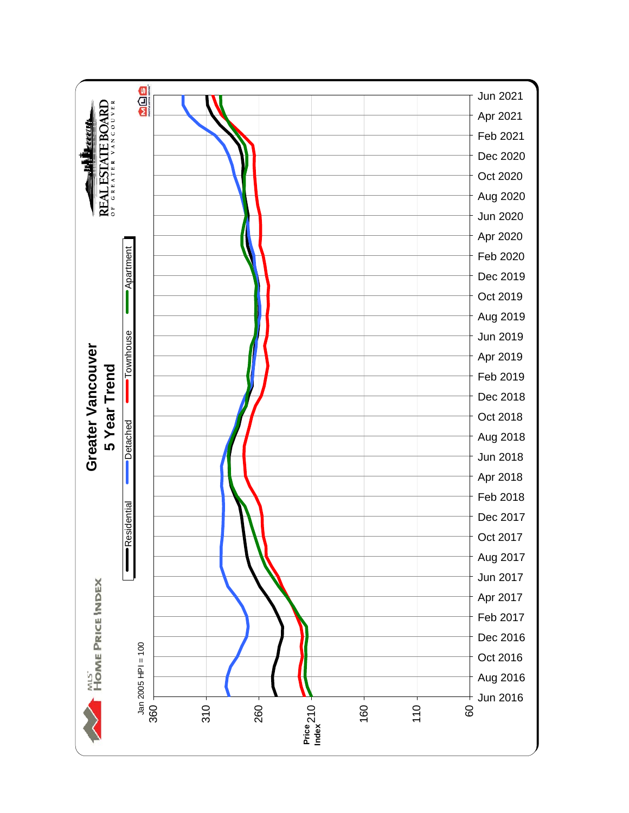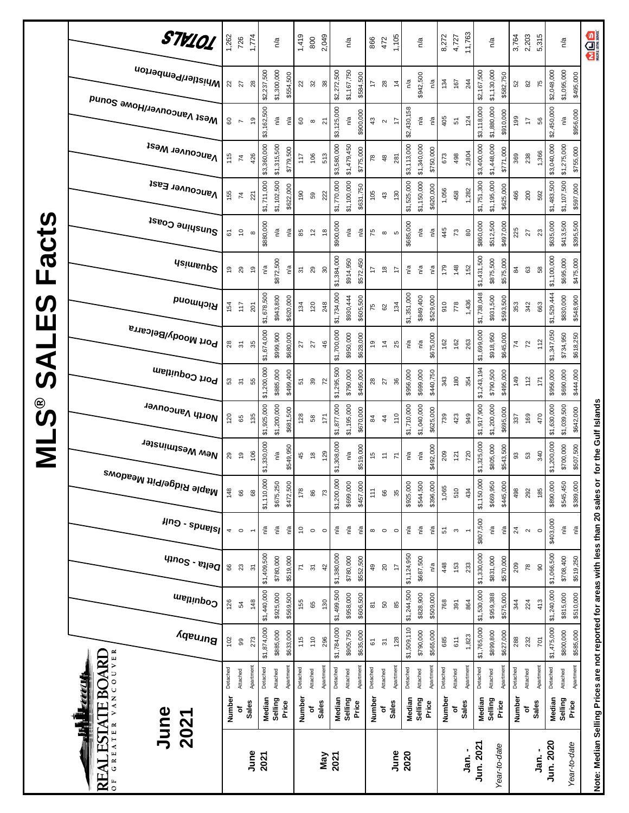|                       | STV101                                   | 1,262    | 726                       | 1,774          |             | n/a         |           | 1,419          | 800            | 2,049             |             | n/a         |           | 866                 | 472               | 1,105          |             | n/a         |           | 8,272    | 4,727                            | 11,763                   |             | n/a                      | 3,764           | 2,203               | 5,315          |             | n/a                            | <b>MOS</b>                                                                        |
|-----------------------|------------------------------------------|----------|---------------------------|----------------|-------------|-------------|-----------|----------------|----------------|-------------------|-------------|-------------|-----------|---------------------|-------------------|----------------|-------------|-------------|-----------|----------|----------------------------------|--------------------------|-------------|--------------------------|-----------------|---------------------|----------------|-------------|--------------------------------|-----------------------------------------------------------------------------------|
|                       | i <sup>Whistler/Pemberton</sup>          | 22       | $\overline{27}$           | 28             | \$2,237,500 | \$1,300,000 | \$554,500 | $_{22}$        | 32             | $38$              | \$2,272,500 | \$1,167,750 | \$584,500 | $\ddot{ }$          | 28                | $\frac{4}{4}$  | n/a         | \$942,500   | n/a       | 134      | 167                              | 244                      | \$2,167,500 | \$1,130,000<br>\$582,750 | 52              | $82$                | 75             | \$2,048,000 | \$1,095,000<br>\$495,000       |                                                                                   |
|                       | Mest Vancouver/Howe Sound                | 8        | $\overline{ }$            | é,             | \$3,162,500 | n/a         | n/a       | 60             | $\infty$       | $\overline{2}$    | \$3,125,000 | n/a         | \$900,000 | 43                  | $\mathbf{\alpha}$ | 17             | \$2,430,158 | n/a         | n/a       | 405      | 51                               | 124                      | \$3,118,000 | \$1,880,000<br>\$910,000 | 199             | $\overline{1}$      | 56             | \$2,450,000 | \$956,000<br>n/a               |                                                                                   |
|                       | <b>Vancouver West</b>                    | 115      | $\overline{7}$            | 426            | \$3,360,000 | \$1,315,500 | \$779,500 | 117            | 106            | 513               | \$3,580,000 | \$1,479,450 | \$775,000 | 78                  | 48                | 281            | \$3,113,000 | \$1,340,000 | \$750,000 | 673      | 498                              | 2,804                    | \$3,400,000 | \$1,448,000<br>\$771,000 | 369             | 238                 | 1,366          | \$3,040,000 | \$1,275,000<br>\$755,000       |                                                                                   |
|                       | Vancouver East                           | 155      | $\mathbf{z}$              | 221            | \$1,711,000 | \$1,102,500 | \$622,000 | 190            | 59             | 222               | \$1,770,000 | \$1,100,000 | \$631,750 | 105                 | 43                | 130            | \$1,525,000 | \$1,150,000 | \$620,000 | 1,056    | 458                              | 1,282                    | \$1,751,300 | \$1,195,000<br>\$625,000 | 466             | 200                 | 592            | \$1,483,500 | \$1,107,500<br>\$597,000       |                                                                                   |
| $\boldsymbol{\omega}$ | Sunshine Coast                           | 61       | $\tilde{c}$               | $\infty$       | \$880,000   | n/a         | n/a       | 85             | 57             | $\frac{8}{2}$     | \$900,000   | n/a         | n/a       | 75                  | $\infty$          | Ю              | \$685,000   | n/a         | ηá        | 445      | $\mathfrak{c}$                   | 80                       | \$860,000   | \$512,500<br>\$497,000   | 225             | 27                  | 23             | \$635,000   | \$413,500<br>\$395,500         |                                                                                   |
| Fact                  | <b>Usimenp<sup>2</sup></b>               | Ő,       | 29                        | Ő,             | n/a         | \$872,500   | n/a       | $\overline{5}$ | 29             | $\boldsymbol{30}$ | \$1,384,000 | \$914,950   | \$572,450 | 17                  | $\frac{8}{5}$     | 17             | n/a         | ്ദ          | n/a       | 179      | 148                              | 152                      | \$1,431,500 | \$875,500<br>\$575,000   | $\frac{4}{3}$   | 63                  | 38             | \$1,100,000 | \$695,000<br>\$475,000         |                                                                                   |
| <b>SV</b><br>Ш        | Richmond                                 | 154      | 117                       | 201            | \$1,678,500 | \$943,800   | \$620,000 | 134            | 120            | 248               | \$1,734,000 | \$930,444   | \$605,500 | 75                  | 62                | 134            | \$1,351,000 | \$849,400   | \$529,000 | 910      | 778                              | 1,436                    | \$1,738,048 | \$931,500<br>\$593,500   | 353             | 342                 | 663            | \$1,529,444 | \$830,000<br>\$548,900         |                                                                                   |
| $\overline{A}$        | Port Moody/Belcarra                      | 28       | $\overline{\mathfrak{S}}$ | 35             | \$1,674,000 | \$999,900   | \$680,000 | 27             | 27             | 46                | \$1,700,000 | \$950,000   | \$628,000 | é,                  | $\overline{4}$    | 25             | n/a         | n/a         | \$675,000 | 162      | 162                              | 263                      | \$1,699,000 | \$918,950<br>\$645,000   | $\overline{74}$ | $\overline{z}$      | 112            | \$1,347,050 | \$734,950<br>\$618,250         |                                                                                   |
| ၯ                     | Port Coquitlam                           | 53       | $\overline{\mathfrak{S}}$ | 55             | \$1,200,000 | \$885,000   | \$499,400 | 51             | 39             | 72                | \$1,295,500 | \$790,000   | \$495,000 | $28$                | 27                | 36             | \$956,000   | \$699,000   | \$440,750 | 343      | 180                              | 354                      | \$1,243,194 | \$790,500<br>\$495,000   | 149             | 112                 | 171            | \$956,000   | \$690,000<br>\$444,000         |                                                                                   |
| ို့<br>ဟ              | North Vancouver                          | 120      | 65                        | 135            | \$1,925,000 | \$1,200,000 | \$681,500 | 128            | $58\,$         | 171               | \$1,877,000 | \$1,195,000 | \$670,000 | $\overline{a}$      | $\frac{4}{3}$     | 110            | \$1,710,000 | \$1,040,000 | \$625,000 | 739      | 423                              | 949                      | \$1,917,900 | \$1,200,000<br>\$695,000 | 337             | 169                 | 470            | \$1,630,000 | \$1,039,500<br>\$642,000       | for the Gulf Islands                                                              |
| Σ                     | New Westminster                          | 29       | $\overline{9}$            | 106            | \$1,330,000 | n/a         | \$549,950 | 45             | $\frac{8}{2}$  | 129               | \$1,308,000 | n/a         | \$519,000 | 15                  | $\overline{r}$    | Σ              | n/a         | n/a         | \$492,000 | 209      | 121                              | 720                      | \$1,325,000 | \$805,000<br>\$543,500   | 93              | 53                  | 340            | \$1,200,000 | \$700,000<br>\$507,500         |                                                                                   |
|                       | <sup>Maple Ridge/Pitt Meadows</sup>      | 148      | 88                        | 68             | \$1,110,000 | \$675,250   | \$472,500 | 178            | 86             | $\overline{73}$   | \$1,200,000 | \$699,000   | \$457,000 | $\uparrow$          | 66                | 35             | \$925,000   | \$544,500   | \$396,000 | 1,065    | 510                              | 434                      | \$1,150,000 | \$669,950<br>\$445,000   | 498             | 292                 | 185            | \$890,000   | \$545,450<br>\$389,000         |                                                                                   |
|                       | $\mu$ ng - spuelsl                       | 4        | $\circ$                   |                | ρŞ          | n/a         | n/a       | °,             | $\circ$        | $\circ$           | ρý          | n/a         | n/a       | $\infty$            | $\circ$           | $\circ$        | n/a         | n/a         | n/a       | 51       | $\boldsymbol{\mathsf{\small o}}$ | $\overline{\phantom{a}}$ | \$807,500   | n/a<br>ηã                | 24              | $\boldsymbol{\sim}$ | $\circ$        | \$403,000   | n/a<br>$\mathsf{r}^\mathsf{a}$ |                                                                                   |
|                       | $q_{10}$ elta - South                    | 66       | 23                        | $\overline{3}$ | \$1,409,500 | \$780,000   | \$519,000 | 71             | $\overline{5}$ | 42                | \$1,380,000 | \$780,000   | \$552,500 | 49                  | $20$              | $\overline{1}$ | \$1,124,950 | \$687,500   | n/a       | 448      | 153                              | 233                      | \$1,330,000 | \$831,000<br>\$570,000   | 209             | $78$                | $\overline{6}$ | \$1,066,500 | \$708,400<br>\$519,250         |                                                                                   |
|                       | Coquitlam                                | 126      | 54                        | 148            | \$1,440,000 | \$925,000   | \$569,500 | 155            | 65             | 130               | \$1,499,500 | \$958,000   | \$606,500 | $\overline{\infty}$ | 50                | $85$           | \$1,244,500 | \$828,900   | \$509,000 | 768      | 391                              | 864                      | \$1,530,000 | \$959,388<br>\$575,000   | 344             | 224                 | 413            | \$1,240,000 | \$815,000<br>\$510,000         |                                                                                   |
|                       | Burnaby                                  | 102      | 8                         | 273            | \$1,874,000 | \$885,000   | \$633,000 | 115            | 110            | 296               | \$1,784,000 | \$905,750   | \$635,000 | $\overleftarrow{6}$ | $\frac{1}{2}$     | 128            | \$1,509,110 | \$790,000   | \$565,000 | 685      | 611                              | 1,823                    | \$1,765,000 | \$899,800<br>\$627,000   | 288             | 232                 | 701            | \$1,475,000 | \$800,000<br>\$585,000         |                                                                                   |
|                       | VANCOUVER<br><b>ELEKLE</b>               | Detached | Attached                  | Apartment      | Detached    | Attached    | Apartment | Detached       | Attached       | Apartment         | Detached    | Attached    | Apartment | Detached            | Attached          | Apartmen       | Detached    | Attached    | Apartment | Detached | Attached                         | Apartment                | Detached    | Apartment<br>Attached    | Detached        | Attached            | Apartment      | Detached    | Apartment<br>Attached          |                                                                                   |
|                       | <b>ESTATE BOARL</b><br>June<br>Ē<br>2021 | Number   | đ                         | <b>Sales</b>   | Median      | Selling     | Price     | Number         | ō              | Sales             | Median      | Selling     | Price     | Number              | ٥                 | <b>Sales</b>   | Median      | Selling     | Price     | Number   | <b>Sales</b><br>ō                |                          | Median      | Selling<br>Price         | Number          | ō                   | <b>Sales</b>   | Median      | Selling<br>Price               |                                                                                   |
|                       | GREATER<br>REAL<br>$\overline{0}$        |          |                           | June           | 2021        |             |           |                |                | Vay               | 2021        |             |           |                     |                   | June           | 2020        |             |           |          |                                  | Jan. -                   | Jun. 2021   | Year-to-date             |                 |                     | ່.<br>ສຸ       | Jun. 2020   | Year-to-date                   | Note: Median Selling Prices are not reported for areas with less than 20 sales or |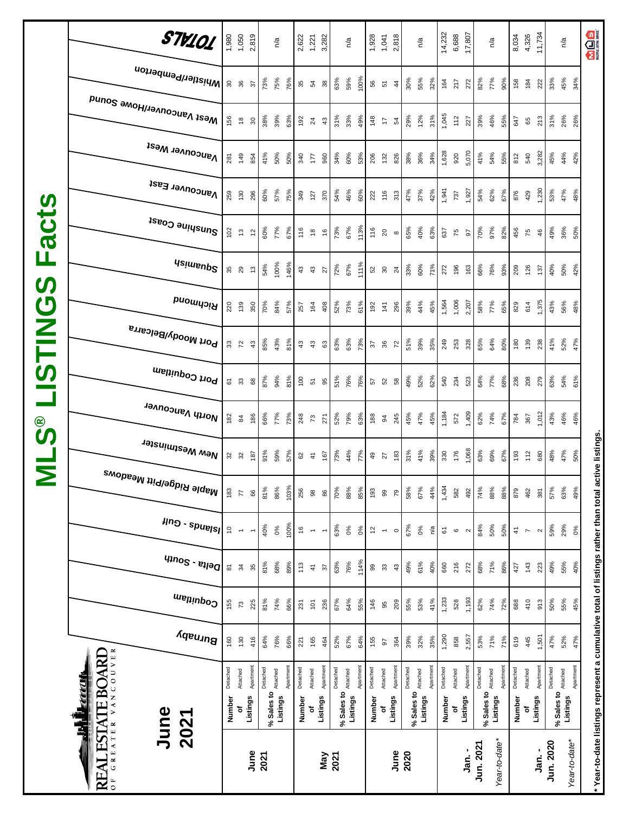|                           | STV101                                           |                     | 1,050                          | 2,819                    |            | n/a      |          | 2,622<br>1,221 |                          | 3,282                    |            | n/a      |           | 1,928    | 1,041                    | 2,818           |            | n/a      |           | 14,232   | 6,688                                                         | 17,807    |            | $n^{\prime}a$        | 8,034         | 4,326                    | 11,734              |           | $n^{d}$                                | <b>MAGS</b>                                                                                        |
|---------------------------|--------------------------------------------------|---------------------|--------------------------------|--------------------------|------------|----------|----------|----------------|--------------------------|--------------------------|------------|----------|-----------|----------|--------------------------|-----------------|------------|----------|-----------|----------|---------------------------------------------------------------|-----------|------------|----------------------|---------------|--------------------------|---------------------|-----------|----------------------------------------|----------------------------------------------------------------------------------------------------|
|                           | Whistler/Pemberton                               |                     | ន<br>ន                         | 57                       | 73%        | 75%      | 76%      | 35             | 54                       | 38                       | 63%        | 59%      | 100%      | 56       | 51                       | $\ddot{4}$      | 30%        | 55%      | 32%       | 164      | 217                                                           | 272       | 82%        | 77%<br>90%           | 158           | 184                      | 222                 | 33%       | 45%                                    | 34%                                                                                                |
|                           | Mest Vancouver/Howe Sound                        | 156                 | $\overset{\circ}{\phantom{a}}$ | $\rm ^{30}$              | 38%        | 39%      | 63%      | 192            | $^{24}$                  | $43\,$                   | 31%        | 33%      | 49%       | 148      | 17                       | 54              | 29%        | 12%      | 31%       | 1,045    | 112                                                           | 227       | 39%        | 46%<br>55%           | 647           | 65                       | 213                 | 31%       | 26%                                    | 26%                                                                                                |
|                           | <b>Vancouver West</b>                            | 281                 | 149                            | 854                      | 41%        | 50%      | 50%      | 340            | Łί                       | 960                      | 34%        | 60%      | 53%       | 206      | 132                      | 826             | 38%        | 36%      | 34%       | 1,628    | 920                                                           | 5,070     | 41%        | 54%<br>55%           | 812           | 540                      | 3,282               | 45%       | 44%                                    | 42%                                                                                                |
|                           | Vancouver East                                   | 259                 | 130                            | 296                      | 60%        | 57%      | 75%      | 349            | 127                      | 370                      | 54%        | 46%      | 60%       | 222      | 116                      | 313             | 47%        | 37%      | 42%       | 1,941    | 737                                                           | 1,927     | 54%        | 62%<br>67%           | 876           | 429                      | 1,230               | 53%       | 47%                                    | 48%                                                                                                |
| <b>acts</b>               | Sunshine Coast                                   | 102                 | م.<br>ب                        | $\tilde{c}$              | 60%        | 77%      | 67%      | 116            | $\frac{8}{2}$            | $\frac{6}{5}$            | 73%        | 67%      | 113%      | 116      | $\overline{20}$          | $\infty$        | 65%        | 40%      | 63%       | 637      | 75                                                            | 56        | 70%        | 97%<br>82%           | 456           | 75                       | 46                  | 49%       | 36%                                    | 50%                                                                                                |
| щ                         | <b>Asimeup<sup>2</sup></b>                       |                     | 35<br>29                       | $\frac{3}{2}$            | 54%        | 100%     | 146%     | $43\,$         | 43                       | 27                       | 72%        | 67%      | 111%      | 52       | 30                       | $\overline{24}$ | 33%        | 60%      | 71%       | 272      | 196                                                           | 163       | 66%        | 76%<br>93%           | 209           | 126                      | 137                 | 40%       | 50%                                    | 42%                                                                                                |
| $\boldsymbol{\omega}$     | Richmond                                         | 220                 | 139                            | 350                      | 70%        | 84%      | 57%      | 257            | 164                      | 408                      | 52%        | 73%      | 61%       | 192      | 141                      | 296             | 39%        | 44%      | 45%       | 1,564    | 1,006                                                         | 2,207     | 58%        | 77%<br>65%           | 829           | 614                      | 1,375               | 43%       | 56%                                    | 48%                                                                                                |
| <b>USTING</b>             | <sup>, Port Moody/Belcarra</sup>                 |                     | 372                            | $43$                     | 85%        | 43%      | 81%      | $43\,$         | $43$                     | 63                       | 63%        | 63%      | 73%       | 57       | 36                       | $\overline{r}$  | 51%        | 39%      | 35%       | 249      | 253                                                           | 328       | 65%        | 64%<br>80%           | 180           | 139                      | 238                 | 41%       | 52%                                    | 47%                                                                                                |
|                           | Port Coquitlam                                   | 61                  | $\mathfrak{Z}$                 | $^{\rm 68}$              | 87%        | 94%      | 81%      | $^{100}$       | 51                       | 95                       | 51%        | 76%      | 76%       | 57       | 52                       | 58              | 49%        | 52%      | 62%       | 540      | 234                                                           | 523       | 64%        | 77%<br>68%           | 236           | 208                      | 279                 | 63%       | 54%                                    | 61%                                                                                                |
| $\overset{\circ}{\bm{v}}$ | North Vancouver                                  | 182                 | $\boldsymbol{84}$              | 186                      | 66%        | 77%      | 73%      | 248            | $\mathfrak{c}$           | 271                      | 52%        | 79%      | 63%       | 188      | 94                       | 245             | 45%        | 47%      | 45%       | 1,184    | 572                                                           | 1,409     | 62%        | 74%<br>67%           | 784           | 367                      | 1,012               | 43%       | 46%                                    | 46%                                                                                                |
| $\overline{\mathsf{z}}$   | New Westminster                                  | 32                  | 32                             | 187                      | 91%        | 59%      | 57%      | 82             | $\ddot{+}$               | 167                      | 73%        | 44%      | 77%       | $^{49}$  | 27                       | $183$           | 31%        | 41%      | 39%       | 330      | 176                                                           | 1,068     | 63%        | 69%<br>67%           | 193           | 112                      | 680                 | 48%       | 47%                                    | 50%                                                                                                |
|                           | , <sup>Maple Ridge/Pitt Meadows</sup>            | 183                 | $\overline{7}$                 | 66                       | 81%        | 86%      | 103%     | 256            | $\overline{98}$          | 86                       | 70%        | 88%      | 85%       | 193      | 99                       | 79              | 58%        | 67%      | 44%       | 1,434    | 582                                                           | 492       | 74%        | 88%<br>88%           | 879           | 462                      | 381                 | 57%       | 63%                                    | 49%                                                                                                |
|                           | $\mu$ ng - spuelsl                               | $\tilde{c}$         | $\overline{\phantom{m}}$       | $\overline{\phantom{m}}$ | 40%        | 0%       | 100%     | $\frac{6}{5}$  | $\overline{\phantom{a}}$ | $\overline{\phantom{0}}$ | 63%        | 0%       | 0%        | 12       | $\overline{\phantom{a}}$ | $\circ$         | 67%        | 0%       | ρÅ        | 61       | $\mathbf  \, \mathbf  \, \mathbf  \, \mathbf  \, \mathbf  \,$ | $\sim$    | 84%        | 50%<br>50%           | $\frac{4}{3}$ | $\overline{\phantom{a}}$ | $\boldsymbol{\sim}$ | 59%       | 29%                                    | $0\%$                                                                                              |
|                           | $q_{10}$ elta - South                            | $\overline{\infty}$ | 34                             | 35                       | 81%        | 68%      | 89%      | 113            | $\frac{4}{7}$            | $\sqrt{3}$               | 63%        | 76%      | 114%      | 99       | 33                       | 43              | 49%        | 61%      | 40%       | 660      | 216                                                           | 272       | 68%        | 71%<br>86%           | 427           | 143                      | 223                 | 49%       | 55%                                    | 40%                                                                                                |
|                           | Coquitlam                                        | 155                 | <b>Z</b>                       | 225                      | 81%        | 74%      | 66%      | 231            | $\overline{5}$           | 236                      | 67%        | 64%      | 55%       | 146      | 95                       | 209             | 55%        | 53%      | 41%       | 1,233    | 528                                                           | 1,193     | 62%        | 74%<br>72%           | 688           | 410                      | 913                 | 50%       | 55%                                    | 45%                                                                                                |
|                           | Burnaby                                          | 160                 | 130                            | 416                      | 64%        | 76%      | 66%      | 221            | 165                      | 464                      | 52%        | 67%      | 64%       | 155      | 67                       | 364             | 39%        | 32%      | 35%       | 1,290    | 858                                                           | 2,557     | 53%        | 71%<br>71%           | 619           | 445                      | 1,501               | 47%       | 52%                                    | 47%                                                                                                |
|                           | VANCOUVER<br><b>ESTATE BOARD</b><br><u>eta i</u> | Detached            | Attached                       | Apartment                | Detached   | Attached | Apartmen | Detached       | Attached                 | Apartment                | Detached   | Attached | Apartment | Detached | Attached                 | Apartment       | Detached   | Attached | Apartment | Detached | Attached                                                      | Apartment | Detached   | Apartmen<br>Attached | Detached      | Attached                 | Apartment           | Detached  |                                        | Apartment                                                                                          |
|                           | June<br>Ę<br>2021                                | Number              | ъ                              | Listings                 | % Sales to | Listings |          | Number         | ٥f                       | Listings                 | % Sales to | Listings |           | Number   | ٥ŕ                       | Listings        | % Sales to | Listings |           | Number   | Listings<br>ō                                                 |           | % Sales to | Listings             | Number        | ъ                        | Listings            |           | % Sales to <b>Attached</b><br>Listings |                                                                                                    |
|                           | GREATER<br>$\mathbf{N}$<br>RE<br>$\overline{0}$  |                     |                                | June                     | 2021       |          |          |                |                          | Vay                      | 2021       |          |           |          |                          | June            | 2020       |          |           |          |                                                               | Jan. -    | Jun. 2021  | Year-to-date*        |               |                          | ່.<br>ສຸ            | Jun. 2020 | Year-to-date*                          | * Year-to-date listings represent a cumulative total of listings rather than total active listings |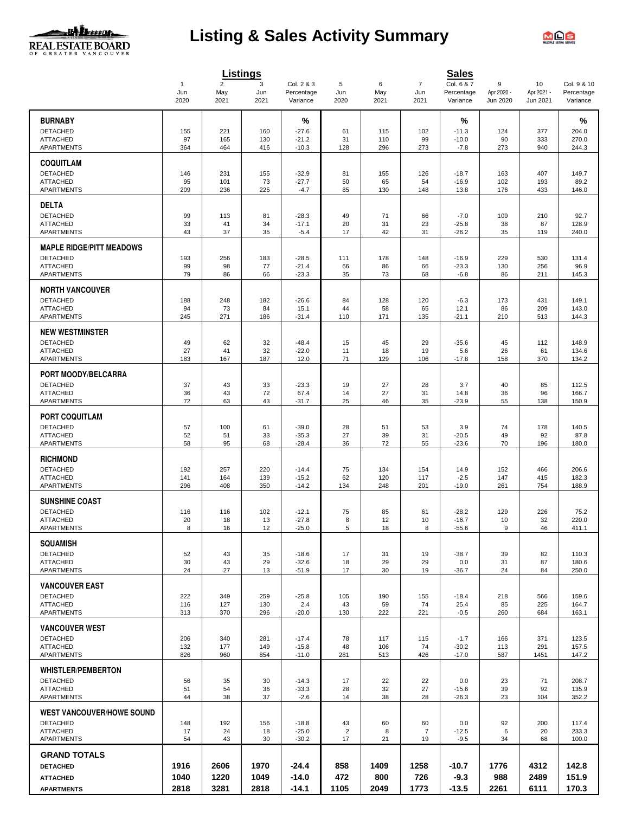

# **Listing & Sales Activity Summary**



|                                      |                     |                       | Listings   |                          |                      |            |                       | <b>Sales</b>             |                 |                  |                           |
|--------------------------------------|---------------------|-----------------------|------------|--------------------------|----------------------|------------|-----------------------|--------------------------|-----------------|------------------|---------------------------|
|                                      | $\mathbf{1}$<br>Jun | $\overline{2}$<br>May | 3<br>Jun   | Col. 2 & 3<br>Percentage | 5<br>Jun             | 6<br>May   | $\overline{7}$<br>Jun | Col. 6 & 7<br>Percentage | 9<br>Apr 2020 - | 10<br>Apr 2021 - | Col. 9 & 10<br>Percentage |
|                                      | 2020                | 2021                  | 2021       | Variance                 | 2020                 | 2021       | 2021                  | Variance                 | Jun 2020        | Jun 2021         | Variance                  |
| <b>BURNABY</b>                       |                     |                       |            | %                        |                      |            |                       | %                        |                 |                  | %                         |
| <b>DETACHED</b>                      | 155                 | 221                   | 160        | $-27.6$                  | 61                   | 115        | 102                   | $-11.3$                  | 124             | 377              | 204.0                     |
| <b>ATTACHED</b>                      | 97                  | 165                   | 130        | $-21.2$                  | 31                   | 110        | 99                    | $-10.0$                  | 90              | 333              | 270.0                     |
| APARTMENTS                           | 364                 | 464                   | 416        | $-10.3$                  | 128                  | 296        | 273                   | $-7.8$                   | 273             | 940              | 244.3                     |
| <b>COQUITLAM</b>                     |                     |                       |            |                          |                      |            |                       |                          |                 |                  |                           |
| <b>DETACHED</b>                      | 146                 | 231                   | 155        | $-32.9$                  | 81                   | 155        | 126                   | $-18.7$                  | 163             | 407              | 149.7                     |
| <b>ATTACHED</b><br><b>APARTMENTS</b> | 95<br>209           | 101<br>236            | 73<br>225  | $-27.7$<br>$-4.7$        | 50<br>85             | 65<br>130  | 54<br>148             | $-16.9$<br>13.8          | 102<br>176      | 193<br>433       | 89.2<br>146.0             |
|                                      |                     |                       |            |                          |                      |            |                       |                          |                 |                  |                           |
| <b>DELTA</b><br><b>DETACHED</b>      |                     |                       |            |                          |                      |            |                       |                          |                 |                  |                           |
| <b>ATTACHED</b>                      | 99<br>33            | 113<br>41             | 81<br>34   | $-28.3$<br>$-17.1$       | 49<br>20             | 71<br>31   | 66<br>23              | $-7.0$<br>$-25.8$        | 109<br>38       | 210<br>87        | 92.7<br>128.9             |
| APARTMENTS                           | 43                  | 37                    | 35         | $-5.4$                   | 17                   | 42         | 31                    | $-26.2$                  | 35              | 119              | 240.0                     |
| <b>MAPLE RIDGE/PITT MEADOWS</b>      |                     |                       |            |                          |                      |            |                       |                          |                 |                  |                           |
| <b>DETACHED</b>                      | 193                 | 256                   | 183        | $-28.5$                  | 111                  | 178        | 148                   | $-16.9$                  | 229             | 530              | 131.4                     |
| <b>ATTACHED</b>                      | 99                  | 98                    | 77         | $-21.4$                  | 66                   | 86         | 66                    | $-23.3$                  | 130             | 256              | 96.9                      |
| APARTMENTS                           | 79                  | 86                    | 66         | $-23.3$                  | 35                   | 73         | 68                    | $-6.8$                   | 86              | 211              | 145.3                     |
| <b>NORTH VANCOUVER</b>               |                     |                       |            |                          |                      |            |                       |                          |                 |                  |                           |
| <b>DETACHED</b>                      | 188                 | 248                   | 182        | $-26.6$                  | 84                   | 128        | 120                   | $-6.3$                   | 173             | 431              | 149.1                     |
| <b>ATTACHED</b><br><b>APARTMENTS</b> | 94<br>245           | 73<br>271             | 84<br>186  | 15.1<br>$-31.4$          | 44<br>110            | 58<br>171  | 65<br>135             | 12.1<br>$-21.1$          | 86<br>210       | 209<br>513       | 143.0<br>144.3            |
|                                      |                     |                       |            |                          |                      |            |                       |                          |                 |                  |                           |
| <b>NEW WESTMINSTER</b>               |                     |                       |            |                          |                      |            |                       |                          |                 |                  |                           |
| <b>DETACHED</b><br><b>ATTACHED</b>   | 49<br>27            | 62<br>41              | 32<br>32   | $-48.4$<br>$-22.0$       | 15<br>11             | 45<br>18   | 29<br>19              | $-35.6$<br>5.6           | 45<br>26        | 112<br>61        | 148.9<br>134.6            |
| <b>APARTMENTS</b>                    | 183                 | 167                   | 187        | 12.0                     | 71                   | 129        | 106                   | $-17.8$                  | 158             | 370              | 134.2                     |
| PORT MOODY/BELCARRA                  |                     |                       |            |                          |                      |            |                       |                          |                 |                  |                           |
| <b>DETACHED</b>                      | 37                  | 43                    | 33         | $-23.3$                  | 19                   | 27         | 28                    | 3.7                      | 40              | 85               | 112.5                     |
| <b>ATTACHED</b>                      | 36                  | 43                    | 72         | 67.4                     | 14                   | 27         | 31                    | 14.8                     | 36              | 96               | 166.7                     |
| <b>APARTMENTS</b>                    | 72                  | 63                    | 43         | $-31.7$                  | 25                   | 46         | 35                    | $-23.9$                  | 55              | 138              | 150.9                     |
| <b>PORT COQUITLAM</b>                |                     |                       |            |                          |                      |            |                       |                          |                 |                  |                           |
| <b>DETACHED</b>                      | 57                  | 100                   | 61         | $-39.0$                  | 28                   | 51         | 53                    | 3.9                      | 74              | 178              | 140.5                     |
| <b>ATTACHED</b><br>APARTMENTS        | 52<br>58            | 51<br>95              | 33<br>68   | $-35.3$<br>$-28.4$       | 27<br>36             | 39<br>72   | 31<br>55              | $-20.5$<br>$-23.6$       | 49<br>70        | 92<br>196        | 87.8<br>180.0             |
|                                      |                     |                       |            |                          |                      |            |                       |                          |                 |                  |                           |
| <b>RICHMOND</b>                      |                     |                       |            |                          |                      |            |                       |                          |                 |                  |                           |
| <b>DETACHED</b><br><b>ATTACHED</b>   | 192<br>141          | 257<br>164            | 220<br>139 | $-14.4$<br>$-15.2$       | 75<br>62             | 134<br>120 | 154<br>117            | 14.9<br>$-2.5$           | 152<br>147      | 466<br>415       | 206.6<br>182.3            |
| APARTMENTS                           | 296                 | 408                   | 350        | $-14.2$                  | 134                  | 248        | 201                   | $-19.0$                  | 261             | 754              | 188.9                     |
| <b>SUNSHINE COAST</b>                |                     |                       |            |                          |                      |            |                       |                          |                 |                  |                           |
| <b>DETACHED</b>                      | 116                 | 116                   | 102        | $-12.1$                  | 75                   | 85         | 61                    | $-28.2$                  | 129             | 226              | 75.2                      |
| <b>ATTACHED</b>                      | 20                  | 18                    | 13         | $-27.8$                  | 8                    | 12         | 10                    | $-16.7$                  | 10              | 32               | 220.0                     |
| APARTMENTS                           | 8                   | 16                    | 12         | $-25.0$                  | 5                    | 18         | 8                     | -55.6                    | 9               | 46               | 411.1                     |
| <b>SQUAMISH</b>                      |                     |                       |            |                          |                      |            |                       |                          |                 |                  |                           |
| <b>DETACHED</b>                      | 52                  | 43                    | 35         | $-18.6$                  | 17                   | 31         | 19                    | $-38.7$                  | 39              | 82               | 110.3                     |
| <b>ATTACHED</b><br>APARTMENTS        | 30<br>24            | 43<br>27              | 29<br>13   | $-32.6$<br>$-51.9$       | 18<br>17             | 29<br>30   | 29<br>19              | 0.0<br>$-36.7$           | 31<br>24        | 87<br>84         | 180.6<br>250.0            |
|                                      |                     |                       |            |                          |                      |            |                       |                          |                 |                  |                           |
| <b>VANCOUVER EAST</b>                |                     |                       |            |                          |                      |            |                       |                          |                 |                  |                           |
| <b>DETACHED</b><br><b>ATTACHED</b>   | 222<br>116          | 349<br>127            | 259<br>130 | $-25.8$<br>2.4           | 105<br>43            | 190<br>59  | 155<br>74             | $-18.4$<br>25.4          | 218<br>85       | 566<br>225       | 159.6<br>164.7            |
| <b>APARTMENTS</b>                    | 313                 | 370                   | 296        | $-20.0$                  | 130                  | 222        | 221                   | $-0.5$                   | 260             | 684              | 163.1                     |
| <b>VANCOUVER WEST</b>                |                     |                       |            |                          |                      |            |                       |                          |                 |                  |                           |
| <b>DETACHED</b>                      | 206                 | 340                   | 281        | $-17.4$                  | 78                   | 117        | 115                   | $-1.7$                   | 166             | 371              | 123.5                     |
| <b>ATTACHED</b>                      | 132                 | 177                   | 149        | $-15.8$                  | 48                   | 106        | 74                    | $-30.2$                  | 113             | 291              | 157.5                     |
| APARTMENTS                           | 826                 | 960                   | 854        | $-11.0$                  | 281                  | 513        | 426                   | $-17.0$                  | 587             | 1451             | 147.2                     |
| <b>WHISTLER/PEMBERTON</b>            |                     |                       |            |                          |                      |            |                       |                          |                 |                  |                           |
| <b>DETACHED</b>                      | 56                  | 35                    | 30         | $-14.3$                  | 17                   | 22         | 22                    | 0.0                      | 23              | 71               | 208.7                     |
| <b>ATTACHED</b><br><b>APARTMENTS</b> | 51<br>44            | 54<br>38              | 36<br>37   | $-33.3$<br>$-2.6$        | 28<br>14             | 32<br>38   | 27<br>28              | $-15.6$<br>$-26.3$       | 39<br>23        | 92<br>104        | 135.9<br>352.2            |
|                                      |                     |                       |            |                          |                      |            |                       |                          |                 |                  |                           |
| <b>WEST VANCOUVER/HOWE SOUND</b>     |                     |                       |            |                          |                      |            |                       |                          |                 |                  |                           |
| <b>DETACHED</b><br><b>ATTACHED</b>   | 148<br>17           | 192<br>24             | 156<br>18  | $-18.8$<br>$-25.0$       | 43<br>$\overline{2}$ | 60<br>8    | 60<br>$\overline{7}$  | 0.0<br>$-12.5$           | 92<br>6         | 200<br>20        | 117.4<br>233.3            |
| APARTMENTS                           | 54                  | 43                    | 30         | $-30.2$                  | 17                   | 21         | 19                    | $-9.5$                   | 34              | 68               | 100.0                     |
| <b>GRAND TOTALS</b>                  |                     |                       |            |                          |                      |            |                       |                          |                 |                  |                           |
| <b>DETACHED</b>                      | 1916                | 2606                  | 1970       | $-24.4$                  | 858                  | 1409       | 1258                  | -10.7                    | 1776            | 4312             | 142.8                     |
| <b>ATTACHED</b>                      | 1040                | 1220                  | 1049       | $-14.0$                  | 472                  | 800        | 726                   | $-9.3$                   | 988             | 2489             | 151.9                     |
| <b>APARTMENTS</b>                    | 2818                | 3281                  | 2818       | $-14.1$                  | 1105                 | 2049       | 1773                  | $-13.5$                  | 2261            | 6111             | 170.3                     |